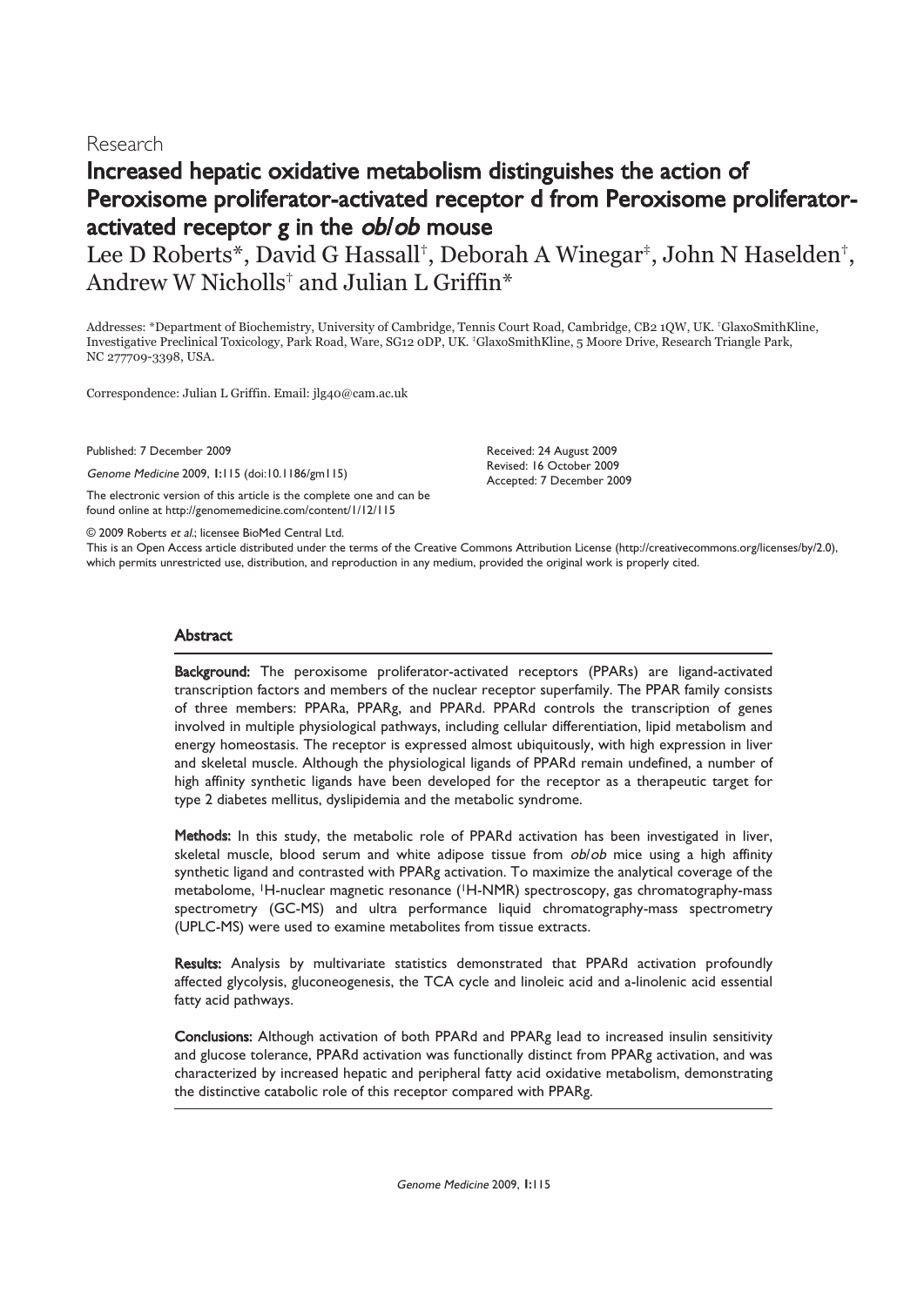# Research

# Increased hepatic oxidative metabolism distinguishes the action of Peroxisome proliferator-activated receptor d from Peroxisome proliferatoractivated receptor g in the *oblob* mouse

Lee D Roberts\*, David G Hassall<sup>†</sup>, Deborah A Winegar<sup>‡</sup>, John N Haselden<sup>†</sup>, Andrew W Nicholls† and Julian L Griffin\*

Addresses: \*Department of Biochemistry, University of Cambridge, Tennis Court Road, Cambridge, CB2 1QW, UK. †GlaxoSmithKline, Investigative Preclinical Toxicology, Park Road, Ware, SG12 0DP, UK. ‡GlaxoSmithKline, 5 Moore Drive, Research Triangle Park, NC 277709-3398, USA.

Correspondence: Julian L Griffin. Email: jlg40@cam.ac.uk

Published: 7 December 2009

Genome Medicine 2009, 1:115 (doi:10.1186/gm115)

The electronic version of this article is the complete one and can be found online at http://genomemedicine.com/content/1/12/115

© 2009 Roberts et al.; licensee BioMed Central Ltd.

Received: 24 August 2009 Revised: 16 October 2009 Accepted: 7 December 2009

This is an Open Access article distributed under the terms of the Creative Commons Attribution License (http://creativecommons.org/licenses/by/2.0), which permits unrestricted use, distribution, and reproduction in any medium, provided the original work is properly cited.

# Abstract

Background: The peroxisome proliferator-activated receptors (PPARs) are ligand-activated transcription factors and members of the nuclear receptor superfamily. The PPAR family consists of three members: PPARa, PPARg, and PPARd. PPARd controls the transcription of genes involved in multiple physiological pathways, including cellular differentiation, lipid metabolism and energy homeostasis. The receptor is expressed almost ubiquitously, with high expression in liver and skeletal muscle. Although the physiological ligands of PPARd remain undefined, a number of high affinity synthetic ligands have been developed for the receptor as a therapeutic target for type 2 diabetes mellitus, dyslipidemia and the metabolic syndrome.

Methods: In this study, the metabolic role of PPARd activation has been investigated in liver, skeletal muscle, blood serum and white adipose tissue from ob/ob mice using a high affinity synthetic ligand and contrasted with PPARg activation. To maximize the analytical coverage of the metabolome, 1H-nuclear magnetic resonance (1H-NMR) spectroscopy, gas chromatography-mass spectrometry (GC-MS) and ultra performance liquid chromatography-mass spectrometry (UPLC-MS) were used to examine metabolites from tissue extracts.

Results: Analysis by multivariate statistics demonstrated that PPARd activation profoundly affected glycolysis, gluconeogenesis, the TCA cycle and linoleic acid and a-linolenic acid essential fatty acid pathways.

Conclusions: Although activation of both PPARd and PPARg lead to increased insulin sensitivity and glucose tolerance, PPARd activation was functionally distinct from PPARg activation, and was characterized by increased hepatic and peripheral fatty acid oxidative metabolism, demonstrating the distinctive catabolic role of this receptor compared with PPARg.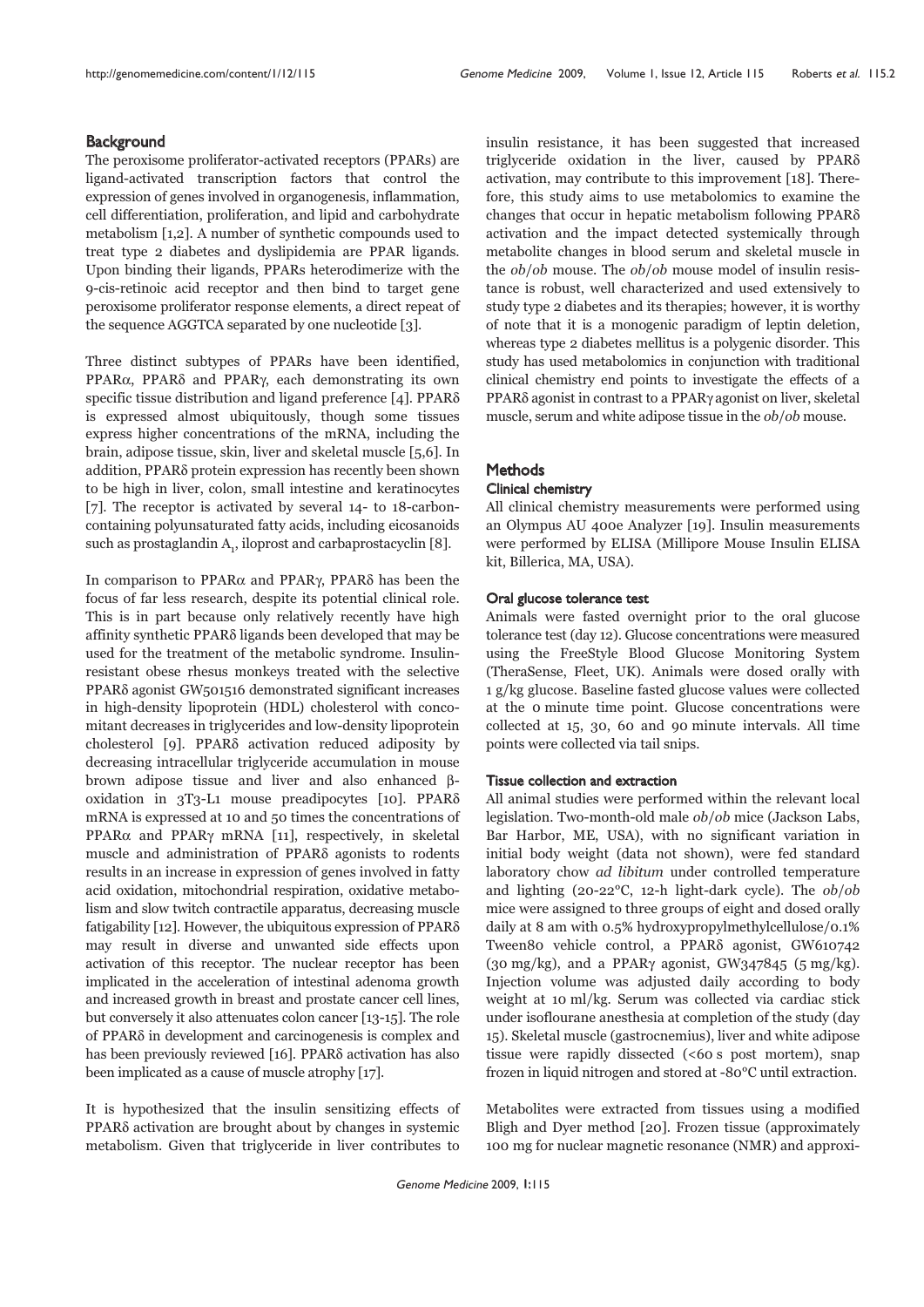# **Background**

The peroxisome proliferator-activated receptors (PPARs) are ligand-activated transcription factors that control the expression of genes involved in organogenesis, inflammation, cell differentiation, proliferation, and lipid and carbohydrate metabolism [1,2]. A number of synthetic compounds used to treat type 2 diabetes and dyslipidemia are PPAR ligands. Upon binding their ligands, PPARs heterodimerize with the 9-cis-retinoic acid receptor and then bind to target gene peroxisome proliferator response elements, a direct repeat of the sequence AGGTCA separated by one nucleotide [3].

Three distinct subtypes of PPARs have been identified, PPARα, PPARδ and PPARγ, each demonstrating its own specific tissue distribution and ligand preference [4]. PPARδ is expressed almost ubiquitously, though some tissues express higher concentrations of the mRNA, including the brain, adipose tissue, skin, liver and skeletal muscle [5,6]. In addition, PPARδ protein expression has recently been shown to be high in liver, colon, small intestine and keratinocytes [7]. The receptor is activated by several 14- to 18-carboncontaining polyunsaturated fatty acids, including eicosanoids such as prostaglandin  $A_1$ , iloprost and carbaprostacyclin [8].

In comparison to PPARα and PPARγ, PPARδ has been the focus of far less research, despite its potential clinical role. This is in part because only relatively recently have high affinity synthetic PPARδ ligands been developed that may be used for the treatment of the metabolic syndrome. Insulinresistant obese rhesus monkeys treated with the selective PPARδ agonist GW501516 demonstrated significant increases in high-density lipoprotein (HDL) cholesterol with concomitant decreases in triglycerides and low-density lipoprotein cholesterol [9]. PPARδ activation reduced adiposity by decreasing intracellular triglyceride accumulation in mouse brown adipose tissue and liver and also enhanced βoxidation in 3T3-L1 mouse preadipocytes [10]. PPARδ mRNA is expressed at 10 and 50 times the concentrations of PPARα and PPARγ mRNA [11], respectively, in skeletal muscle and administration of PPARδ agonists to rodents results in an increase in expression of genes involved in fatty acid oxidation, mitochondrial respiration, oxidative metabolism and slow twitch contractile apparatus, decreasing muscle fatigability [12]. However, the ubiquitous expression of PPARδ may result in diverse and unwanted side effects upon activation of this receptor. The nuclear receptor has been implicated in the acceleration of intestinal adenoma growth and increased growth in breast and prostate cancer cell lines, but conversely it also attenuates colon cancer [13-15]. The role of PPARδ in development and carcinogenesis is complex and has been previously reviewed [16]. PPARδ activation has also been implicated as a cause of muscle atrophy [17].

It is hypothesized that the insulin sensitizing effects of PPARδ activation are brought about by changes in systemic metabolism. Given that triglyceride in liver contributes to

insulin resistance, it has been suggested that increased triglyceride oxidation in the liver, caused by PPARδ activation, may contribute to this improvement [18]. Therefore, this study aims to use metabolomics to examine the changes that occur in hepatic metabolism following PPARδ activation and the impact detected systemically through metabolite changes in blood serum and skeletal muscle in the ob/ob mouse. The ob/ob mouse model of insulin resistance is robust, well characterized and used extensively to study type 2 diabetes and its therapies; however, it is worthy of note that it is a monogenic paradigm of leptin deletion, whereas type 2 diabetes mellitus is a polygenic disorder. This study has used metabolomics in conjunction with traditional clinical chemistry end points to investigate the effects of a PPARδ agonist in contrast to a PPARγ agonist on liver, skeletal muscle, serum and white adipose tissue in the ob/ob mouse.

# **Methods**

# Clinical chemistry

All clinical chemistry measurements were performed using an Olympus AU 400e Analyzer [19]. Insulin measurements were performed by ELISA (Millipore Mouse Insulin ELISA kit, Billerica, MA, USA).

# Oral glucose tolerance test

Animals were fasted overnight prior to the oral glucose tolerance test (day 12). Glucose concentrations were measured using the FreeStyle Blood Glucose Monitoring System (TheraSense, Fleet, UK). Animals were dosed orally with 1 g/kg glucose. Baseline fasted glucose values were collected at the 0 minute time point. Glucose concentrations were collected at 15, 30, 60 and 90 minute intervals. All time points were collected via tail snips.

#### Tissue collection and extraction

All animal studies were performed within the relevant local legislation. Two-month-old male ob/ob mice (Jackson Labs, Bar Harbor, ME, USA), with no significant variation in initial body weight (data not shown), were fed standard laboratory chow ad libitum under controlled temperature and lighting (20-22°C, 12-h light-dark cycle). The ob/ob mice were assigned to three groups of eight and dosed orally daily at 8 am with 0.5% hydroxypropylmethylcellulose/0.1% Tween80 vehicle control, a PPARδ agonist, GW610742 (30 mg/kg), and a PPAR $\gamma$  agonist, GW347845 (5 mg/kg). Injection volume was adjusted daily according to body weight at 10 ml/kg. Serum was collected via cardiac stick under isoflourane anesthesia at completion of the study (day 15). Skeletal muscle (gastrocnemius), liver and white adipose tissue were rapidly dissected (<60 s post mortem), snap frozen in liquid nitrogen and stored at -80°C until extraction.

Metabolites were extracted from tissues using a modified Bligh and Dyer method [20]. Frozen tissue (approximately 100 mg for nuclear magnetic resonance (NMR) and approxi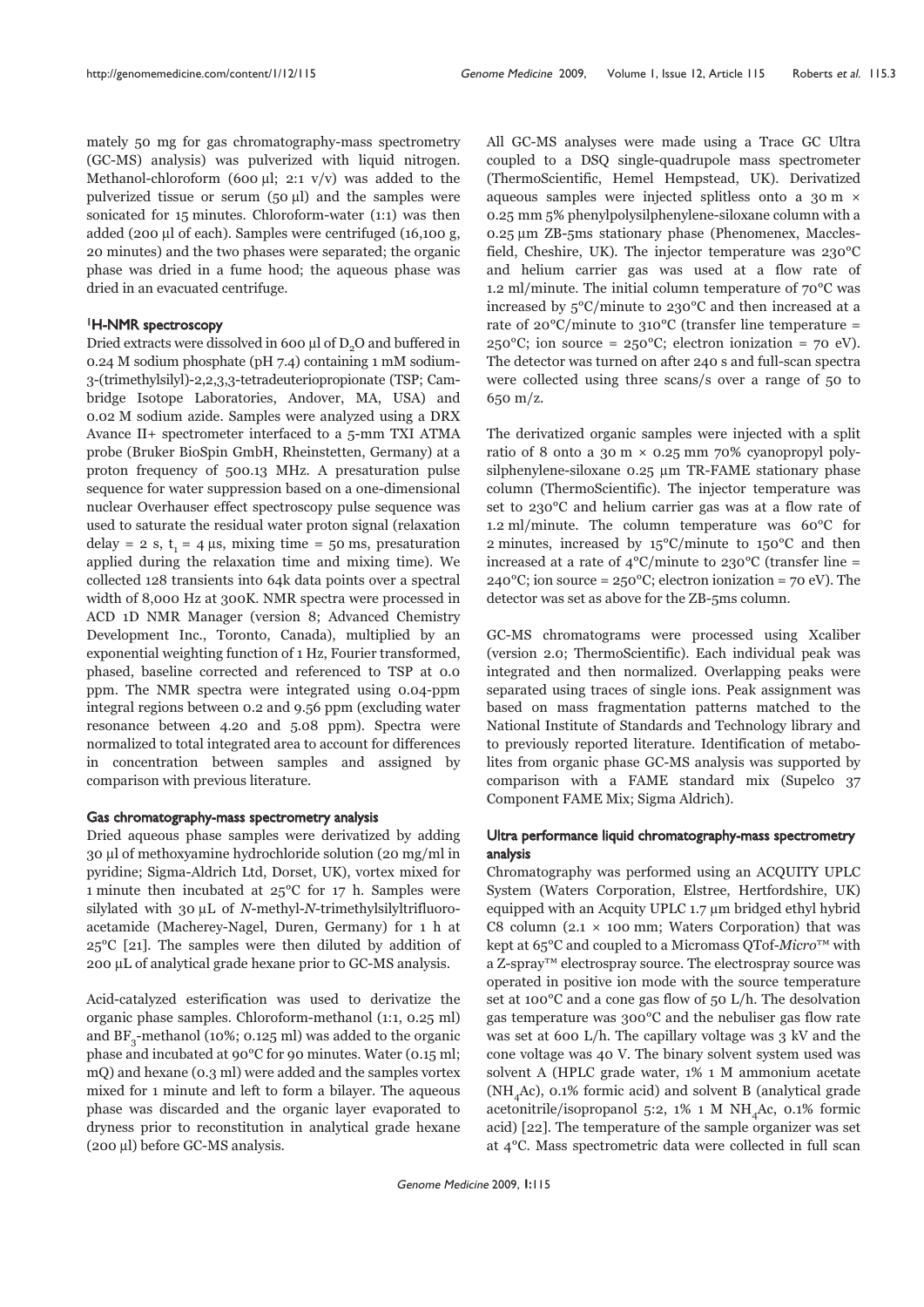mately 50 mg for gas chromatography-mass spectrometry (GC-MS) analysis) was pulverized with liquid nitrogen. Methanol-chloroform (600  $\mu$ l; 2:1 v/v) was added to the pulverized tissue or serum (50 µl) and the samples were sonicated for 15 minutes. Chloroform-water (1:1) was then added (200 µl of each). Samples were centrifuged (16,100 g, 20 minutes) and the two phases were separated; the organic phase was dried in a fume hood; the aqueous phase was dried in an evacuated centrifuge.

#### 1H-NMR spectroscopy

Dried extracts were dissolved in 600  $\mu$ l of D<sub>2</sub>O and buffered in 0.24 M sodium phosphate (pH 7.4) containing 1 mM sodium-3-(trimethylsilyl)-2,2,3,3-tetradeuteriopropionate (TSP; Cambridge Isotope Laboratories, Andover, MA, USA) and 0.02 M sodium azide. Samples were analyzed using a DRX Avance II+ spectrometer interfaced to a 5-mm TXI ATMA probe (Bruker BioSpin GmbH, Rheinstetten, Germany) at a proton frequency of 500.13 MHz. A presaturation pulse sequence for water suppression based on a one-dimensional nuclear Overhauser effect spectroscopy pulse sequence was used to saturate the residual water proton signal (relaxation delay = 2 s, t<sub>1</sub> = 4  $\mu$ s, mixing time = 50 ms, presaturation applied during the relaxation time and mixing time). We collected 128 transients into 64k data points over a spectral width of 8,000 Hz at 300K. NMR spectra were processed in ACD 1D NMR Manager (version 8; Advanced Chemistry Development Inc., Toronto, Canada), multiplied by an exponential weighting function of 1 Hz, Fourier transformed, phased, baseline corrected and referenced to TSP at 0.0 ppm. The NMR spectra were integrated using 0.04-ppm integral regions between 0.2 and 9.56 ppm (excluding water resonance between 4.20 and 5.08 ppm). Spectra were normalized to total integrated area to account for differences in concentration between samples and assigned by comparison with previous literature.

#### Gas chromatography-mass spectrometry analysis

Dried aqueous phase samples were derivatized by adding 30 µl of methoxyamine hydrochloride solution (20 mg/ml in pyridine; Sigma-Aldrich Ltd, Dorset, UK), vortex mixed for 1 minute then incubated at 25°C for 17 h. Samples were silylated with 30 µL of N-methyl-N-trimethylsilyltrifluoroacetamide (Macherey-Nagel, Duren, Germany) for 1 h at 25°C [21]. The samples were then diluted by addition of 200 µL of analytical grade hexane prior to GC-MS analysis.

Acid-catalyzed esterification was used to derivatize the organic phase samples. Chloroform-methanol (1:1, 0.25 ml) and  $BF_3$ -methanol (10%; 0.125 ml) was added to the organic phase and incubated at 90°C for 90 minutes. Water (0.15 ml; mQ) and hexane (0.3 ml) were added and the samples vortex mixed for 1 minute and left to form a bilayer. The aqueous phase was discarded and the organic layer evaporated to dryness prior to reconstitution in analytical grade hexane (200 µl) before GC-MS analysis.

All GC-MS analyses were made using a Trace GC Ultra coupled to a DSQ single-quadrupole mass spectrometer (ThermoScientific, Hemel Hempstead, UK). Derivatized aqueous samples were injected splitless onto a 30 m × 0.25 mm 5% phenylpolysilphenylene-siloxane column with a 0.25 µm ZB-5ms stationary phase (Phenomenex, Macclesfield, Cheshire, UK). The injector temperature was 230°C and helium carrier gas was used at a flow rate of 1.2 ml/minute. The initial column temperature of 70°C was increased by 5°C/minute to 230°C and then increased at a rate of 20°C/minute to 310°C (transfer line temperature = 250°C; ion source =  $250$ °C; electron ionization = 70 eV). The detector was turned on after 240 s and full-scan spectra were collected using three scans/s over a range of 50 to 650 m/z.

The derivatized organic samples were injected with a split ratio of 8 onto a 30 m  $\times$  0.25 mm 70% cyanopropyl polysilphenylene-siloxane 0.25 µm TR-FAME stationary phase column (ThermoScientific). The injector temperature was set to 230°C and helium carrier gas was at a flow rate of 1.2 ml/minute. The column temperature was 60°C for 2 minutes, increased by 15°C/minute to 150°C and then increased at a rate of  $4^{\circ}$ C/minute to  $230^{\circ}$ C (transfer line = 240°C; ion source = 250°C; electron ionization = 70 eV). The detector was set as above for the ZB-5ms column.

GC-MS chromatograms were processed using Xcaliber (version 2.0; ThermoScientific). Each individual peak was integrated and then normalized. Overlapping peaks were separated using traces of single ions. Peak assignment was based on mass fragmentation patterns matched to the National Institute of Standards and Technology library and to previously reported literature. Identification of metabolites from organic phase GC-MS analysis was supported by comparison with a FAME standard mix (Supelco 37 Component FAME Mix; Sigma Aldrich).

# Ultra performance liquid chromatography-mass spectrometry analysis

Chromatography was performed using an ACQUITY UPLC System (Waters Corporation, Elstree, Hertfordshire, UK) equipped with an Acquity UPLC 1.7 µm bridged ethyl hybrid C8 column ( $2.1 \times 100$  mm; Waters Corporation) that was kept at  $65^{\circ}$ C and coupled to a Micromass OTof-Micro<sup>™</sup> with a Z-spray™ electrospray source. The electrospray source was operated in positive ion mode with the source temperature set at 100°C and a cone gas flow of 50 L/h. The desolvation gas temperature was 300°C and the nebuliser gas flow rate was set at 600 L/h. The capillary voltage was 3 kV and the cone voltage was 40 V. The binary solvent system used was solvent A (HPLC grade water, 1% 1 M ammonium acetate  $(NH<sub>A</sub>Ac)$ , 0.1% formic acid) and solvent B (analytical grade acetonitrile/isopropanol 5:2, 1% 1 M NH<sub>4</sub>Ac, 0.1% formic acid) [22]. The temperature of the sample organizer was set at 4°C. Mass spectrometric data were collected in full scan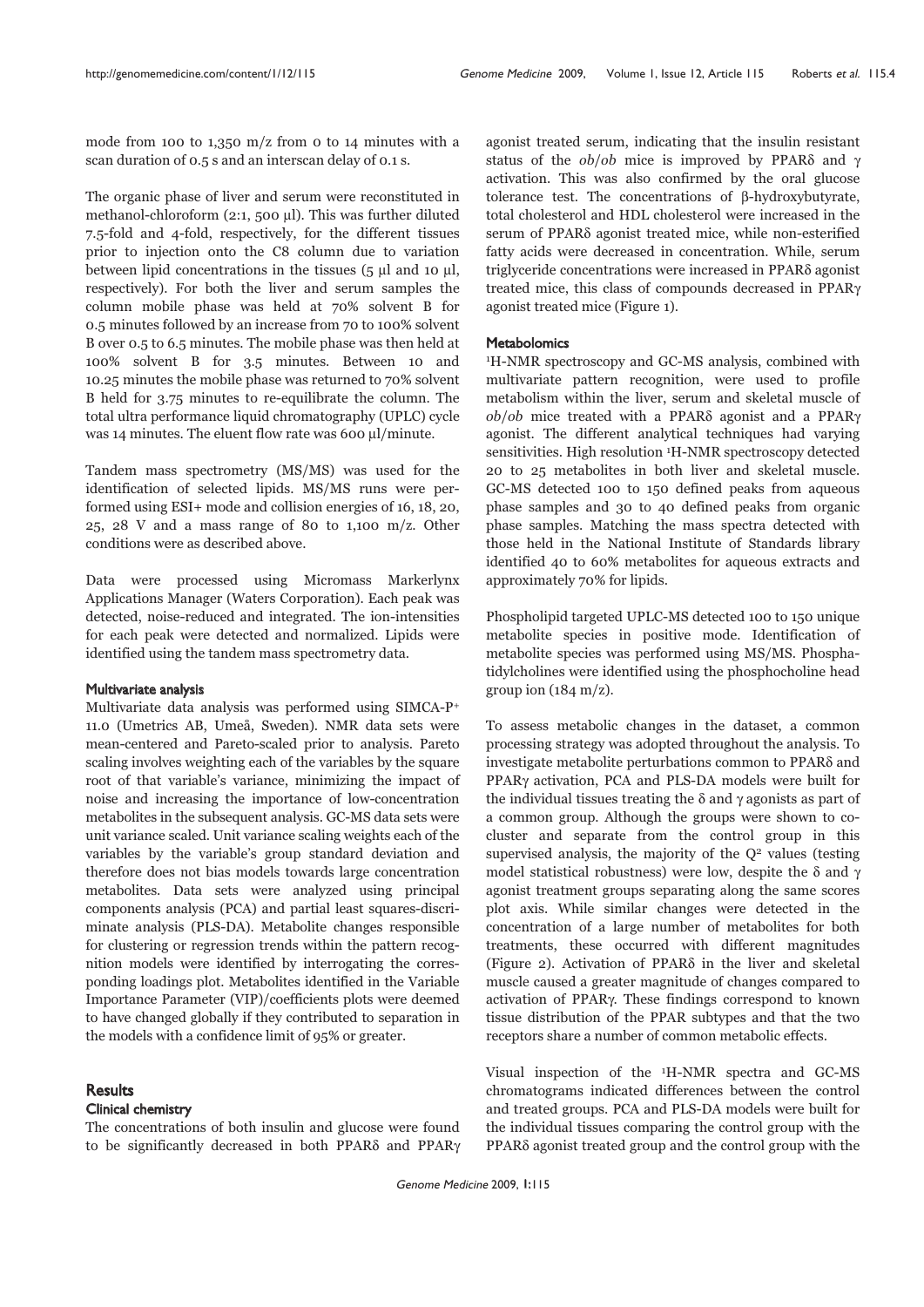mode from 100 to 1,350 m/z from 0 to 14 minutes with a scan duration of 0.5 s and an interscan delay of 0.1 s.

The organic phase of liver and serum were reconstituted in methanol-chloroform (2:1, 500 µl). This was further diluted 7.5-fold and 4-fold, respectively, for the different tissues prior to injection onto the C8 column due to variation between lipid concentrations in the tissues  $(5 \mu)$  and 10  $\mu$ , respectively). For both the liver and serum samples the column mobile phase was held at 70% solvent B for 0.5 minutes followed by an increase from 70 to 100% solvent B over 0.5 to 6.5 minutes. The mobile phase was then held at 100% solvent B for 3.5 minutes. Between 10 and 10.25 minutes the mobile phase was returned to 70% solvent B held for 3.75 minutes to re-equilibrate the column. The total ultra performance liquid chromatography (UPLC) cycle was 14 minutes. The eluent flow rate was 600 µl/minute.

Tandem mass spectrometry (MS/MS) was used for the identification of selected lipids. MS/MS runs were performed using ESI+ mode and collision energies of 16, 18, 20, 25, 28 V and a mass range of 80 to 1,100 m/z. Other conditions were as described above.

Data were processed using Micromass Markerlynx Applications Manager (Waters Corporation). Each peak was detected, noise-reduced and integrated. The ion-intensities for each peak were detected and normalized. Lipids were identified using the tandem mass spectrometry data.

#### Multivariate analysis

Multivariate data analysis was performed using SIMCA-P+ 11.0 (Umetrics AB, Umeå, Sweden). NMR data sets were mean-centered and Pareto-scaled prior to analysis. Pareto scaling involves weighting each of the variables by the square root of that variable's variance, minimizing the impact of noise and increasing the importance of low-concentration metabolites in the subsequent analysis. GC-MS data sets were unit variance scaled. Unit variance scaling weights each of the variables by the variable's group standard deviation and therefore does not bias models towards large concentration metabolites. Data sets were analyzed using principal components analysis (PCA) and partial least squares-discriminate analysis (PLS-DA). Metabolite changes responsible for clustering or regression trends within the pattern recognition models were identified by interrogating the corresponding loadings plot. Metabolites identified in the Variable Importance Parameter (VIP)/coefficients plots were deemed to have changed globally if they contributed to separation in the models with a confidence limit of 95% or greater.

# **Results** Clinical chemistry

The concentrations of both insulin and glucose were found to be significantly decreased in both PPARδ and PPARγ

agonist treated serum, indicating that the insulin resistant status of the  $ob/ob$  mice is improved by PPAR $\delta$  and  $\gamma$ activation. This was also confirmed by the oral glucose tolerance test. The concentrations of β-hydroxybutyrate, total cholesterol and HDL cholesterol were increased in the serum of PPARδ agonist treated mice, while non-esterified fatty acids were decreased in concentration. While, serum triglyceride concentrations were increased in PPARδ agonist treated mice, this class of compounds decreased in PPARγ agonist treated mice (Figure 1).

#### **Metabolomics**

1H-NMR spectroscopy and GC-MS analysis, combined with multivariate pattern recognition, were used to profile metabolism within the liver, serum and skeletal muscle of ob/ob mice treated with a PPARδ agonist and a PPARγ agonist. The different analytical techniques had varying sensitivities. High resolution 1H-NMR spectroscopy detected 20 to 25 metabolites in both liver and skeletal muscle. GC-MS detected 100 to 150 defined peaks from aqueous phase samples and 30 to 40 defined peaks from organic phase samples. Matching the mass spectra detected with those held in the National Institute of Standards library identified 40 to 60% metabolites for aqueous extracts and approximately 70% for lipids.

Phospholipid targeted UPLC-MS detected 100 to 150 unique metabolite species in positive mode. Identification of metabolite species was performed using MS/MS. Phosphatidylcholines were identified using the phosphocholine head group ion  $(184 \text{ m/z}).$ 

To assess metabolic changes in the dataset, a common processing strategy was adopted throughout the analysis. To investigate metabolite perturbations common to PPARδ and PPARγ activation, PCA and PLS-DA models were built for the individual tissues treating the  $\delta$  and  $\gamma$  agonists as part of a common group. Although the groups were shown to cocluster and separate from the control group in this supervised analysis, the majority of the  $Q<sup>2</sup>$  values (testing model statistical robustness) were low, despite the δ and  $γ$ agonist treatment groups separating along the same scores plot axis. While similar changes were detected in the concentration of a large number of metabolites for both treatments, these occurred with different magnitudes (Figure 2). Activation of PPARδ in the liver and skeletal muscle caused a greater magnitude of changes compared to activation of PPARγ. These findings correspond to known tissue distribution of the PPAR subtypes and that the two receptors share a number of common metabolic effects.

Visual inspection of the 1H-NMR spectra and GC-MS chromatograms indicated differences between the control and treated groups. PCA and PLS-DA models were built for the individual tissues comparing the control group with the PPARδ agonist treated group and the control group with the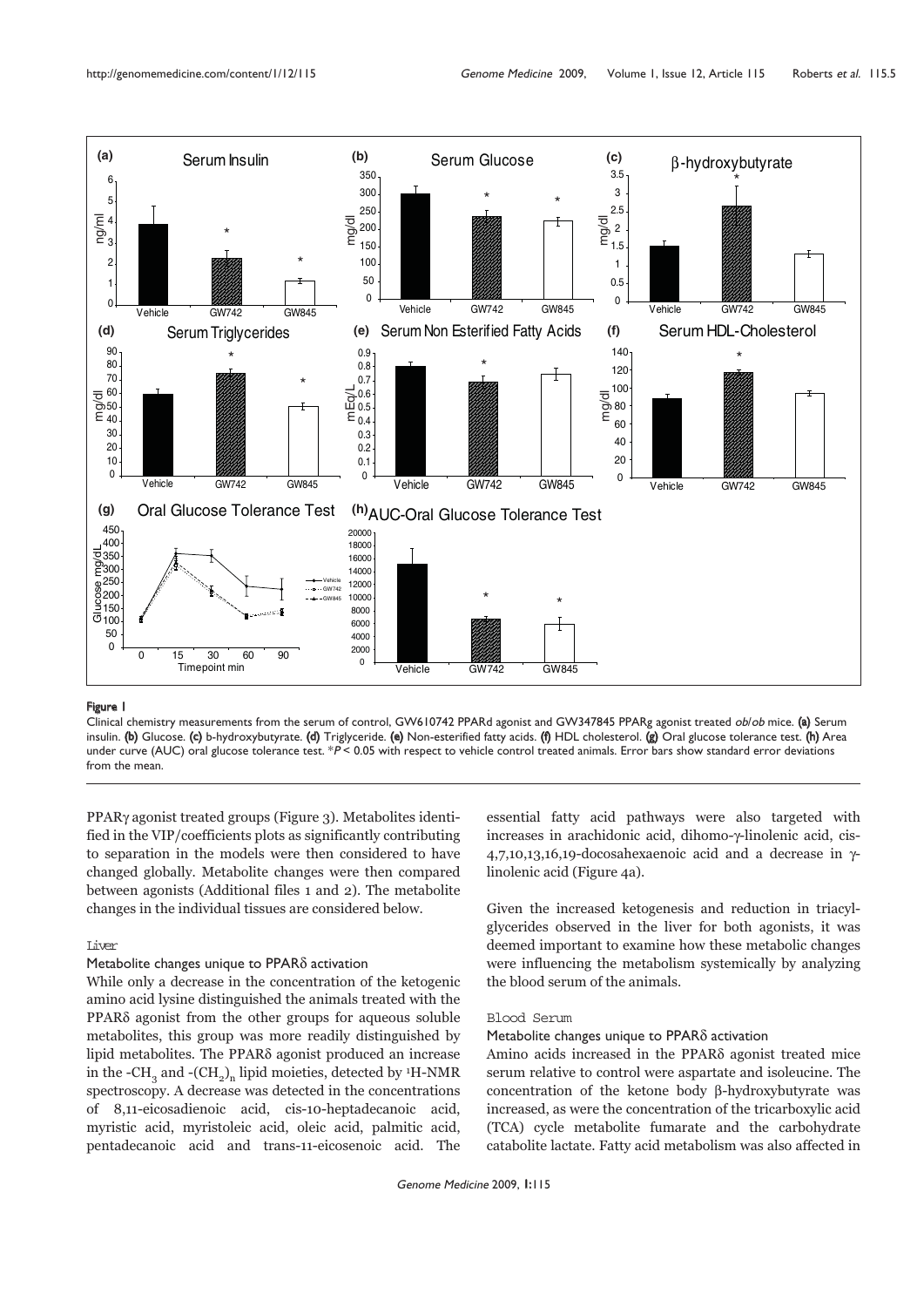

Clinical chemistry measurements from the serum of control, GW610742 PPARd agonist and GW347845 PPARg agonist treated ob/ob mice. (a) Serum insulin. (b) Glucose. (c) b-hydroxybutyrate. (d) Triglyceride. (e) Non-esterified fatty acids. (f) HDL cholesterol. (g) Oral glucose tolerance test. (h) Area under curve (AUC) oral glucose tolerance test.  $*P < 0.05$  with respect to vehicle control treated animals. Error bars show standard error deviations from the mean.

PPARγ agonist treated groups (Figure 3). Metabolites identified in the VIP/coefficients plots as significantly contributing to separation in the models were then considered to have changed globally. Metabolite changes were then compared between agonists (Additional files 1 and 2). The metabolite changes in the individual tissues are considered below.

# Liver

## Metabolite changes unique to PPARδ activation

While only a decrease in the concentration of the ketogenic amino acid lysine distinguished the animals treated with the PPARδ agonist from the other groups for aqueous soluble metabolites, this group was more readily distinguished by lipid metabolites. The PPARδ agonist produced an increase in the -CH<sub>3</sub> and -(CH<sub>2</sub>)<sub>n</sub> lipid moieties, detected by <sup>1</sup>H-NMR spectroscopy. A decrease was detected in the concentrations of 8,11-eicosadienoic acid, cis-10-heptadecanoic acid, myristic acid, myristoleic acid, oleic acid, palmitic acid, pentadecanoic acid and trans-11-eicosenoic acid. The essential fatty acid pathways were also targeted with increases in arachidonic acid, dihomo-γ-linolenic acid, cis-4,7,10,13,16,19-docosahexaenoic acid and a decrease in γlinolenic acid (Figure 4a).

Given the increased ketogenesis and reduction in triacylglycerides observed in the liver for both agonists, it was deemed important to examine how these metabolic changes were influencing the metabolism systemically by analyzing the blood serum of the animals.

#### Blood Serum

#### Metabolite changes unique to PPARδ activation

Amino acids increased in the PPARδ agonist treated mice serum relative to control were aspartate and isoleucine. The concentration of the ketone body β-hydroxybutyrate was increased, as were the concentration of the tricarboxylic acid (TCA) cycle metabolite fumarate and the carbohydrate catabolite lactate. Fatty acid metabolism was also affected in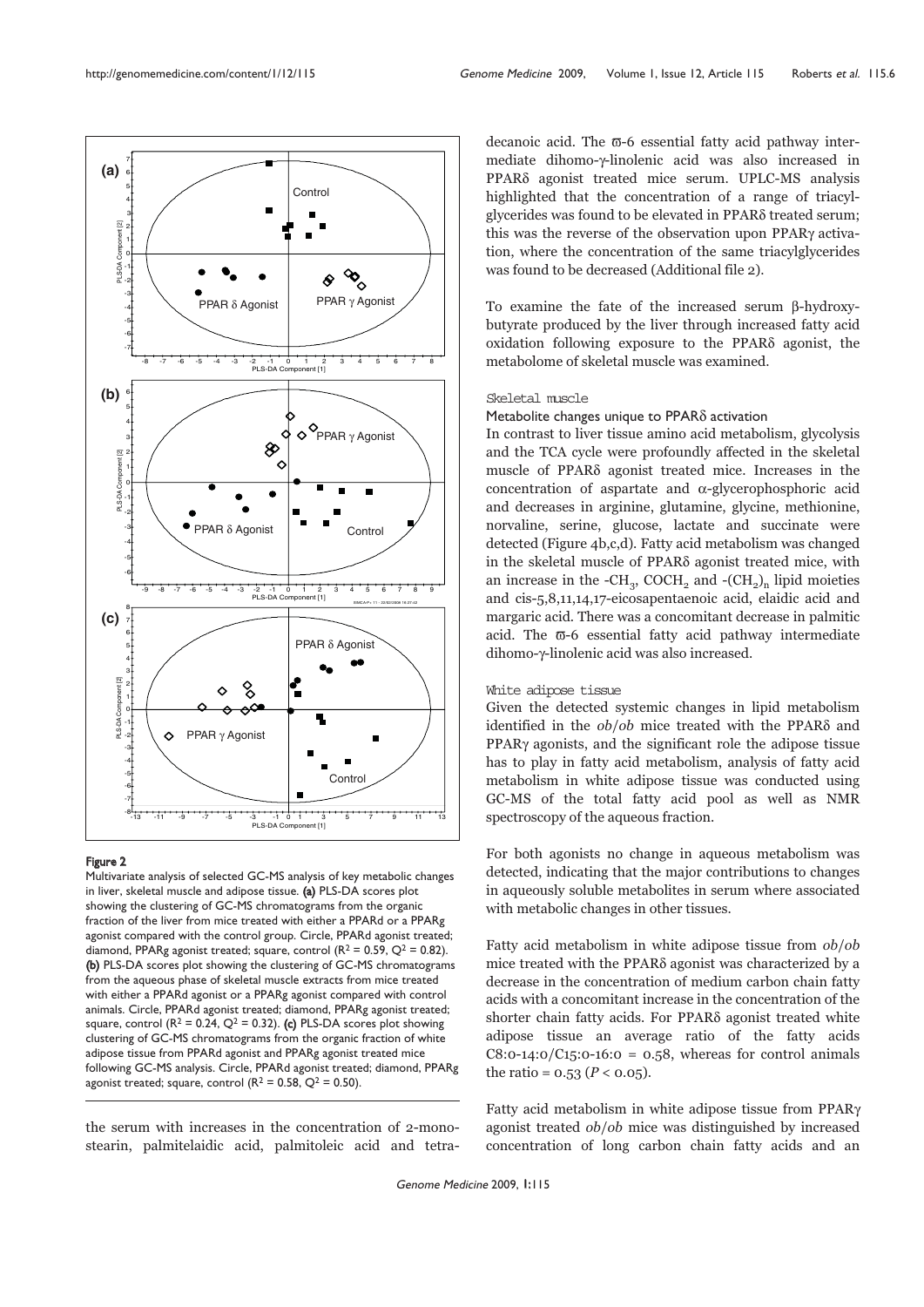

Multivariate analysis of selected GC-MS analysis of key metabolic changes in liver, skeletal muscle and adipose tissue. (a) PLS-DA scores plot showing the clustering of GC-MS chromatograms from the organic fraction of the liver from mice treated with either a PPARd or a PPARg agonist compared with the control group. Circle, PPARd agonist treated; diamond, PPARg agonist treated; square, control ( $R^2 = 0.59$ ,  $Q^2 = 0.82$ ). (b) PLS-DA scores plot showing the clustering of GC-MS chromatograms from the aqueous phase of skeletal muscle extracts from mice treated with either a PPARd agonist or a PPARg agonist compared with control animals. Circle, PPARd agonist treated; diamond, PPARg agonist treated; square, control ( $R^2 = 0.24$ ,  $Q^2 = 0.32$ ). (c) PLS-DA scores plot showing clustering of GC-MS chromatograms from the organic fraction of white adipose tissue from PPARd agonist and PPARg agonist treated mice following GC-MS analysis. Circle, PPARd agonist treated; diamond, PPARg agonist treated; square, control ( $R^2 = 0.58$ ,  $Q^2 = 0.50$ ).

the serum with increases in the concentration of 2-monostearin, palmitelaidic acid, palmitoleic acid and tetra-

decanoic acid. The ϖ-6 essential fatty acid pathway intermediate dihomo-γ-linolenic acid was also increased in PPARδ agonist treated mice serum. UPLC-MS analysis highlighted that the concentration of a range of triacylglycerides was found to be elevated in PPARδ treated serum; this was the reverse of the observation upon PPARγ activation, where the concentration of the same triacylglycerides was found to be decreased (Additional file 2).

To examine the fate of the increased serum β-hydroxybutyrate produced by the liver through increased fatty acid oxidation following exposure to the PPARδ agonist, the metabolome of skeletal muscle was examined.

#### Skeletal muscle

#### Metabolite changes unique to PPARδ activation

In contrast to liver tissue amino acid metabolism, glycolysis and the TCA cycle were profoundly affected in the skeletal muscle of PPARδ agonist treated mice. Increases in the concentration of aspartate and α-glycerophosphoric acid and decreases in arginine, glutamine, glycine, methionine, norvaline, serine, glucose, lactate and succinate were detected (Figure 4b,c,d). Fatty acid metabolism was changed in the skeletal muscle of PPARδ agonist treated mice, with an increase in the -CH<sub>3</sub>, COCH<sub>2</sub> and -(CH<sub>2</sub>)<sub>n</sub> lipid moieties and cis-5,8,11,14,17-eicosapentaenoic acid, elaidic acid and margaric acid. There was a concomitant decrease in palmitic acid. The ϖ-6 essential fatty acid pathway intermediate dihomo-γ-linolenic acid was also increased.

#### White adipose tissue

Given the detected systemic changes in lipid metabolism identified in the ob/ob mice treated with the PPARδ and PPARγ agonists, and the significant role the adipose tissue has to play in fatty acid metabolism, analysis of fatty acid metabolism in white adipose tissue was conducted using GC-MS of the total fatty acid pool as well as NMR spectroscopy of the aqueous fraction.

For both agonists no change in aqueous metabolism was detected, indicating that the major contributions to changes in aqueously soluble metabolites in serum where associated with metabolic changes in other tissues.

Fatty acid metabolism in white adipose tissue from ob/ob mice treated with the PPARδ agonist was characterized by a decrease in the concentration of medium carbon chain fatty acids with a concomitant increase in the concentration of the shorter chain fatty acids. For PPARδ agonist treated white adipose tissue an average ratio of the fatty acids C8:0-14:0/C15:0-16:0 = 0.58, whereas for control animals the ratio =  $0.53 (P < 0.05)$ .

Fatty acid metabolism in white adipose tissue from PPARγ agonist treated ob/ob mice was distinguished by increased concentration of long carbon chain fatty acids and an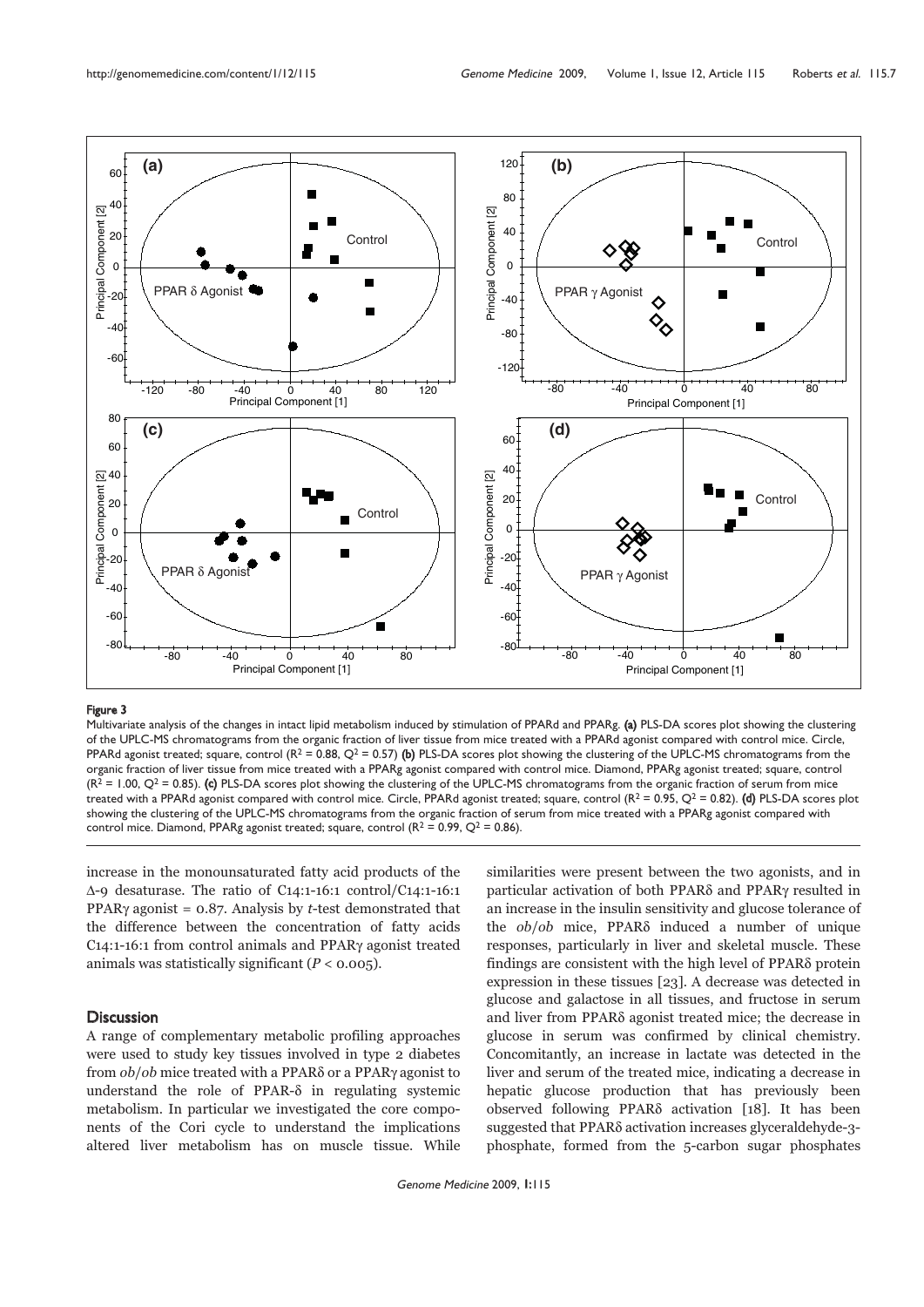

Multivariate analysis of the changes in intact lipid metabolism induced by stimulation of PPARd and PPARg. (a) PLS-DA scores plot showing the clustering of the UPLC-MS chromatograms from the organic fraction of liver tissue from mice treated with a PPARd agonist compared with control mice. Circle, PPARd agonist treated; square, control ( $R^2 = 0.88$ ,  $Q^2 = 0.57$ ) (b) PLS-DA scores plot showing the clustering of the UPLC-MS chromatograms from the organic fraction of liver tissue from mice treated with a PPARg agonist compared with control mice. Diamond, PPARg agonist treated; square, control  $(R<sup>2</sup> = 1.00, Q<sup>2</sup> = 0.85)$ . (c) PLS-DA scores plot showing the clustering of the UPLC-MS chromatograms from the organic fraction of serum from mice treated with a PPARd agonist compared with control mice. Circle, PPARd agonist treated; square, control  $(R^2 = 0.95, Q^2 = 0.82)$ . (d) PLS-DA scores plot showing the clustering of the UPLC-MS chromatograms from the organic fraction of serum from mice treated with a PPARg agonist compared with control mice. Diamond, PPARg agonist treated; square, control ( $R^2 = 0.99$ ,  $Q^2 = 0.86$ ).

increase in the monounsaturated fatty acid products of the ∆-9 desaturase. The ratio of C14:1-16:1 control/C14:1-16:1 PPAR $\gamma$  agonist = 0.87. Analysis by *t*-test demonstrated that the difference between the concentration of fatty acids C14:1-16:1 from control animals and PPARγ agonist treated animals was statistically significant  $(P < 0.005)$ .

# **Discussion**

A range of complementary metabolic profiling approaches were used to study key tissues involved in type 2 diabetes from ob/ob mice treated with a PPARδ or a PPARγ agonist to understand the role of PPAR-δ in regulating systemic metabolism. In particular we investigated the core components of the Cori cycle to understand the implications altered liver metabolism has on muscle tissue. While similarities were present between the two agonists, and in particular activation of both PPARδ and PPARγ resulted in an increase in the insulin sensitivity and glucose tolerance of the ob/ob mice, PPARδ induced a number of unique responses, particularly in liver and skeletal muscle. These findings are consistent with the high level of PPARδ protein expression in these tissues [23]. A decrease was detected in glucose and galactose in all tissues, and fructose in serum and liver from PPARδ agonist treated mice; the decrease in glucose in serum was confirmed by clinical chemistry. Concomitantly, an increase in lactate was detected in the liver and serum of the treated mice, indicating a decrease in hepatic glucose production that has previously been observed following PPARδ activation [18]. It has been suggested that PPARδ activation increases glyceraldehyde-3 phosphate, formed from the 5-carbon sugar phosphates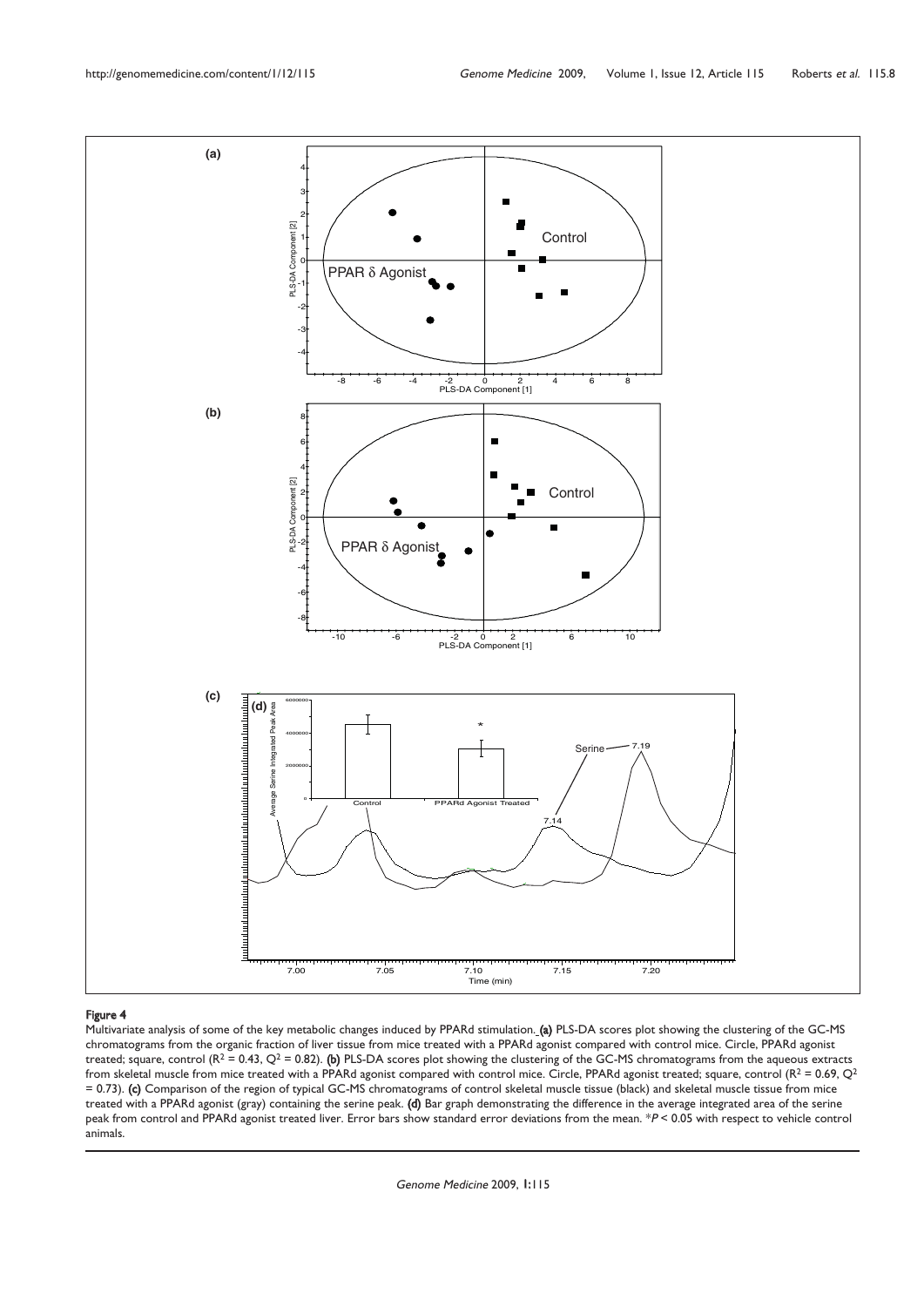

Multivariate analysis of some of the key metabolic changes induced by PPARd stimulation. (a) PLS-DA scores plot showing the clustering of the GC-MS chromatograms from the organic fraction of liver tissue from mice treated with a PPARd agonist compared with control mice. Circle, PPARd agonist treated; square, control (R<sup>2</sup> = 0.43, Q<sup>2</sup> = 0.82). **(b)** PLS-DA scores plot showing the clustering of the GC-MS chromatograms from the aqueous extracts from skeletal muscle from mice treated with a PPARd agonist compared with control mice. Circle, PPARd agonist treated; square, control (R<sup>2</sup> = 0.69, Q<sup>2</sup> = 0.73). (c) Comparison of the region of typical GC-MS chromatograms of control skeletal muscle tissue (black) and skeletal muscle tissue from mice treated with a PPARd agonist (gray) containing the serine peak. (d) Bar graph demonstrating the difference in the average integrated area of the serine peak from control and PPARd agonist treated liver. Error bars show standard error deviations from the mean. \*<sup>P</sup> < 0.05 with respect to vehicle control animals.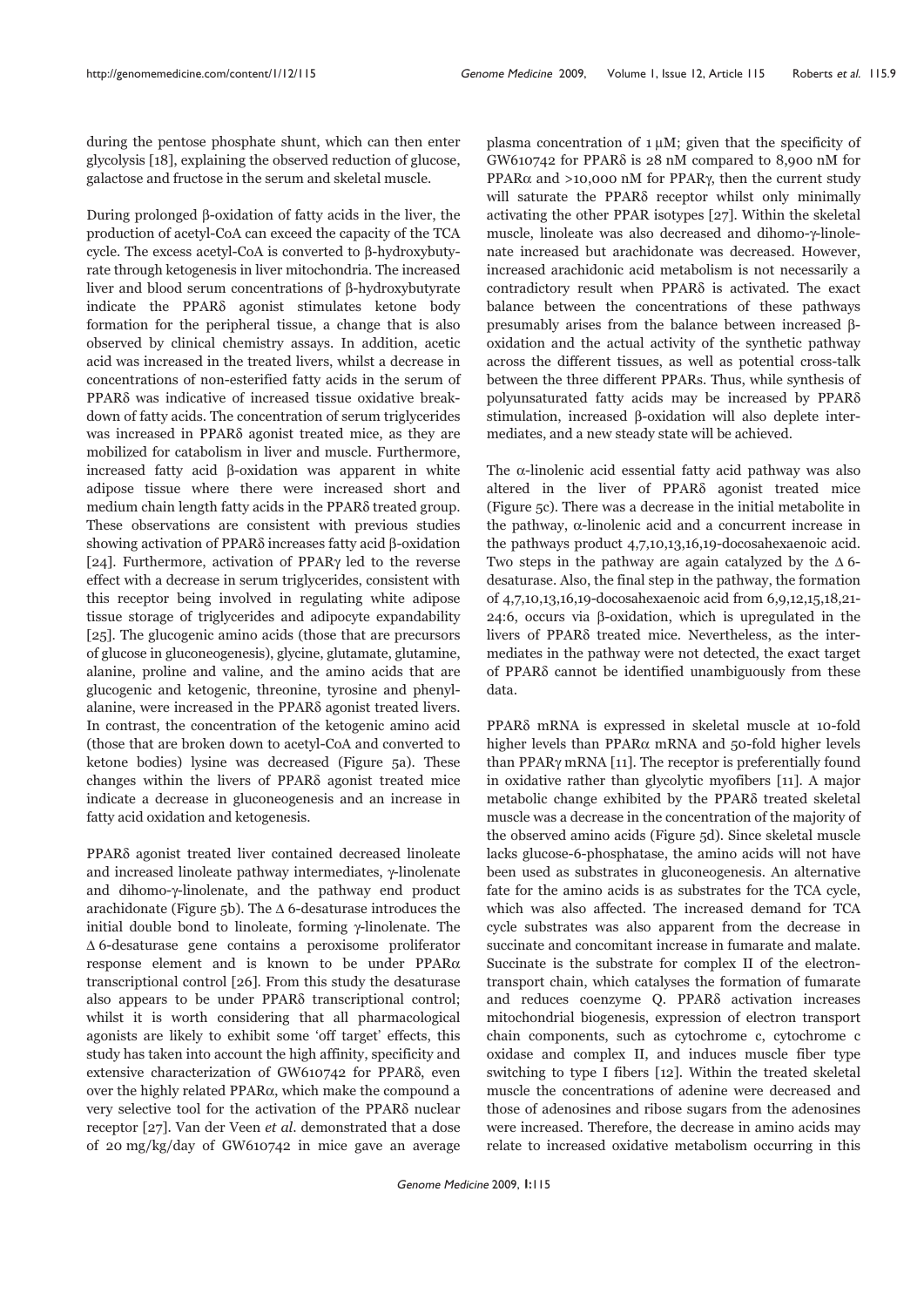during the pentose phosphate shunt, which can then enter glycolysis [18], explaining the observed reduction of glucose, galactose and fructose in the serum and skeletal muscle.

During prolonged β-oxidation of fatty acids in the liver, the production of acetyl-CoA can exceed the capacity of the TCA cycle. The excess acetyl-CoA is converted to β-hydroxybutyrate through ketogenesis in liver mitochondria. The increased liver and blood serum concentrations of β-hydroxybutyrate indicate the PPARδ agonist stimulates ketone body formation for the peripheral tissue, a change that is also observed by clinical chemistry assays. In addition, acetic acid was increased in the treated livers, whilst a decrease in concentrations of non-esterified fatty acids in the serum of PPARδ was indicative of increased tissue oxidative breakdown of fatty acids. The concentration of serum triglycerides was increased in PPARδ agonist treated mice, as they are mobilized for catabolism in liver and muscle. Furthermore, increased fatty acid β-oxidation was apparent in white adipose tissue where there were increased short and medium chain length fatty acids in the PPARδ treated group. These observations are consistent with previous studies showing activation of PPARδ increases fatty acid β-oxidation [24]. Furthermore, activation of PPARγ led to the reverse effect with a decrease in serum triglycerides, consistent with this receptor being involved in regulating white adipose tissue storage of triglycerides and adipocyte expandability [25]. The glucogenic amino acids (those that are precursors of glucose in gluconeogenesis), glycine, glutamate, glutamine, alanine, proline and valine, and the amino acids that are glucogenic and ketogenic, threonine, tyrosine and phenylalanine, were increased in the PPARδ agonist treated livers. In contrast, the concentration of the ketogenic amino acid (those that are broken down to acetyl-CoA and converted to ketone bodies) lysine was decreased (Figure 5a). These changes within the livers of PPARδ agonist treated mice indicate a decrease in gluconeogenesis and an increase in fatty acid oxidation and ketogenesis.

PPARδ agonist treated liver contained decreased linoleate and increased linoleate pathway intermediates, γ-linolenate and dihomo-γ-linolenate, and the pathway end product arachidonate (Figure 5b). The  $\Delta$  6-desaturase introduces the initial double bond to linoleate, forming γ-linolenate. The ∆ 6-desaturase gene contains a peroxisome proliferator response element and is known to be under PPARα transcriptional control [26]. From this study the desaturase also appears to be under PPARδ transcriptional control; whilst it is worth considering that all pharmacological agonists are likely to exhibit some 'off target' effects, this study has taken into account the high affinity, specificity and extensive characterization of GW610742 for PPARδ, even over the highly related PPARα, which make the compound a very selective tool for the activation of the PPARδ nuclear receptor [27]. Van der Veen et al. demonstrated that a dose of 20 mg/kg/day of GW610742 in mice gave an average

plasma concentration of  $1 \mu$ M; given that the specificity of GW610742 for PPARδ is 28 nM compared to 8,900 nM for PPARα and >10,000 nM for PPARγ, then the current study will saturate the PPARδ receptor whilst only minimally activating the other PPAR isotypes [27]. Within the skeletal muscle, linoleate was also decreased and dihomo-γ-linolenate increased but arachidonate was decreased. However, increased arachidonic acid metabolism is not necessarily a contradictory result when PPARδ is activated. The exact balance between the concentrations of these pathways presumably arises from the balance between increased βoxidation and the actual activity of the synthetic pathway across the different tissues, as well as potential cross-talk between the three different PPARs. Thus, while synthesis of polyunsaturated fatty acids may be increased by PPARδ stimulation, increased β-oxidation will also deplete intermediates, and a new steady state will be achieved.

The α-linolenic acid essential fatty acid pathway was also altered in the liver of PPARδ agonist treated mice (Figure 5c). There was a decrease in the initial metabolite in the pathway, α-linolenic acid and a concurrent increase in the pathways product 4,7,10,13,16,19-docosahexaenoic acid. Two steps in the pathway are again catalyzed by the ∆ 6 desaturase. Also, the final step in the pathway, the formation of 4,7,10,13,16,19-docosahexaenoic acid from 6,9,12,15,18,21- 24:6, occurs via β-oxidation, which is upregulated in the livers of PPARδ treated mice. Nevertheless, as the intermediates in the pathway were not detected, the exact target of PPARδ cannot be identified unambiguously from these data.

PPARδ mRNA is expressed in skeletal muscle at 10-fold higher levels than PPAR $\alpha$  mRNA and 50-fold higher levels than PPARγ mRNA [11]. The receptor is preferentially found in oxidative rather than glycolytic myofibers [11]. A major metabolic change exhibited by the PPARδ treated skeletal muscle was a decrease in the concentration of the majority of the observed amino acids (Figure 5d). Since skeletal muscle lacks glucose-6-phosphatase, the amino acids will not have been used as substrates in gluconeogenesis. An alternative fate for the amino acids is as substrates for the TCA cycle, which was also affected. The increased demand for TCA cycle substrates was also apparent from the decrease in succinate and concomitant increase in fumarate and malate. Succinate is the substrate for complex II of the electrontransport chain, which catalyses the formation of fumarate and reduces coenzyme Q. PPARδ activation increases mitochondrial biogenesis, expression of electron transport chain components, such as cytochrome c, cytochrome c oxidase and complex II, and induces muscle fiber type switching to type I fibers [12]. Within the treated skeletal muscle the concentrations of adenine were decreased and those of adenosines and ribose sugars from the adenosines were increased. Therefore, the decrease in amino acids may relate to increased oxidative metabolism occurring in this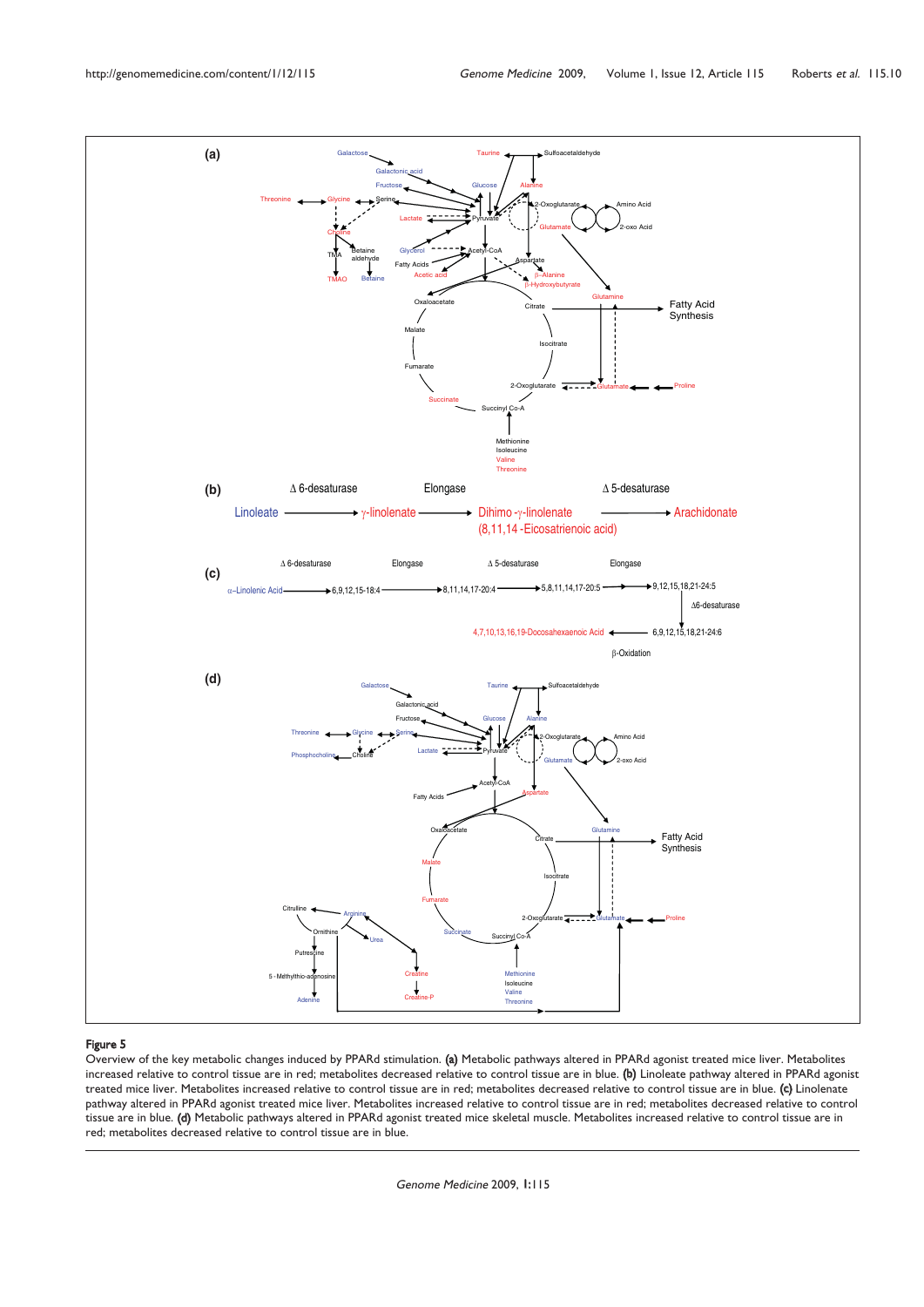

Overview of the key metabolic changes induced by PPARd stimulation. (a) Metabolic pathways altered in PPARd agonist treated mice liver. Metabolites increased relative to control tissue are in red; metabolites decreased relative to control tissue are in blue. (b) Linoleate pathway altered in PPARd agonist treated mice liver. Metabolites increased relative to control tissue are in red; metabolites decreased relative to control tissue are in blue. (c) Linolenate pathway altered in PPARd agonist treated mice liver. Metabolites increased relative to control tissue are in red; metabolites decreased relative to control tissue are in blue. (d) Metabolic pathways altered in PPARd agonist treated mice skeletal muscle. Metabolites increased relative to control tissue are in red; metabolites decreased relative to control tissue are in blue.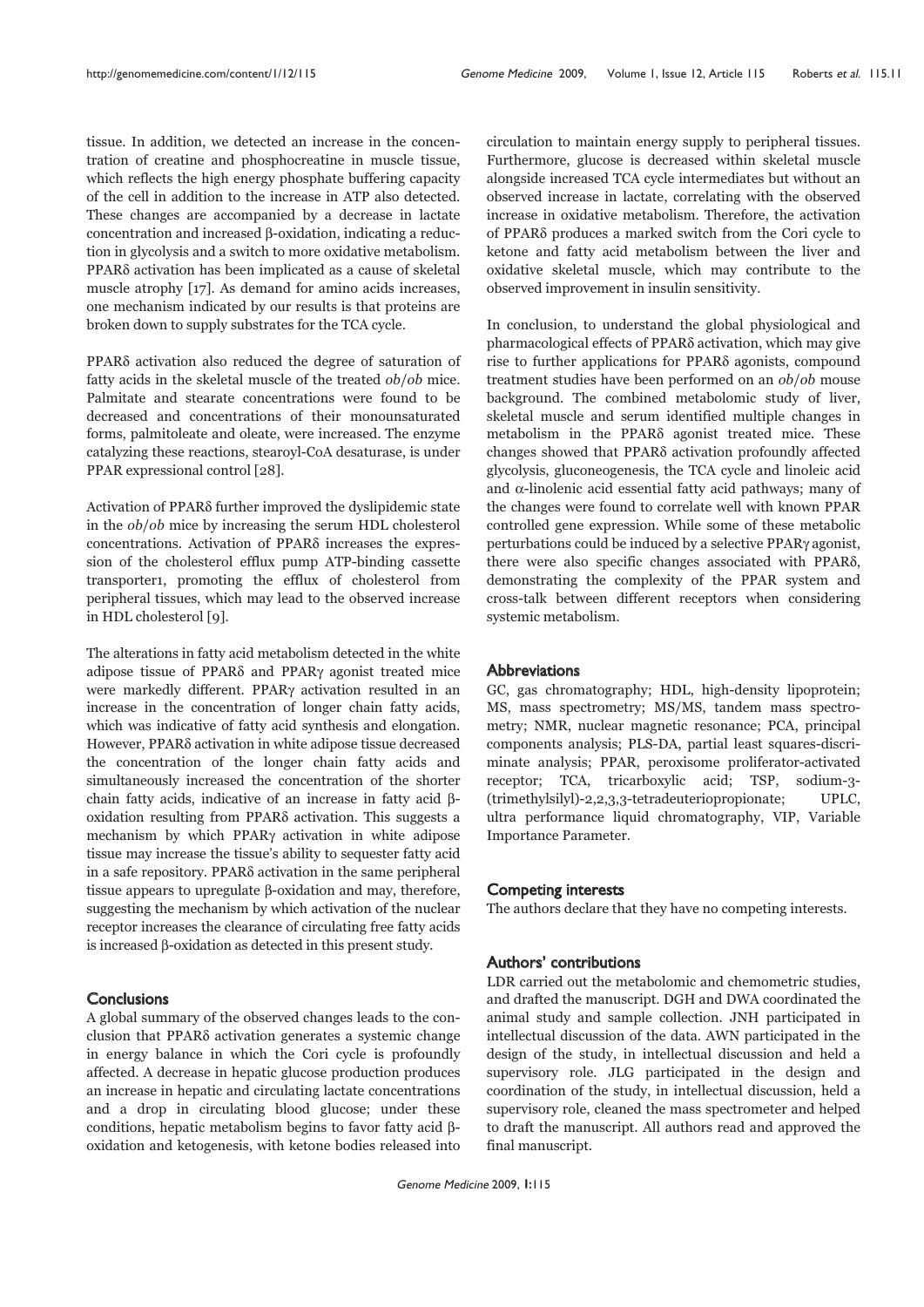tissue. In addition, we detected an increase in the concentration of creatine and phosphocreatine in muscle tissue, which reflects the high energy phosphate buffering capacity of the cell in addition to the increase in ATP also detected. These changes are accompanied by a decrease in lactate concentration and increased β-oxidation, indicating a reduction in glycolysis and a switch to more oxidative metabolism. PPARδ activation has been implicated as a cause of skeletal muscle atrophy [17]. As demand for amino acids increases, one mechanism indicated by our results is that proteins are broken down to supply substrates for the TCA cycle.

PPARδ activation also reduced the degree of saturation of fatty acids in the skeletal muscle of the treated ob/ob mice. Palmitate and stearate concentrations were found to be decreased and concentrations of their monounsaturated forms, palmitoleate and oleate, were increased. The enzyme catalyzing these reactions, stearoyl-CoA desaturase, is under PPAR expressional control [28].

Activation of PPARδ further improved the dyslipidemic state in the ob/ob mice by increasing the serum HDL cholesterol concentrations. Activation of PPARδ increases the expression of the cholesterol efflux pump ATP-binding cassette transporter1, promoting the efflux of cholesterol from peripheral tissues, which may lead to the observed increase in HDL cholesterol [9].

The alterations in fatty acid metabolism detected in the white adipose tissue of PPARδ and PPARγ agonist treated mice were markedly different. PPARγ activation resulted in an increase in the concentration of longer chain fatty acids, which was indicative of fatty acid synthesis and elongation. However, PPARδ activation in white adipose tissue decreased the concentration of the longer chain fatty acids and simultaneously increased the concentration of the shorter chain fatty acids, indicative of an increase in fatty acid βoxidation resulting from PPARδ activation. This suggests a mechanism by which PPARγ activation in white adipose tissue may increase the tissue's ability to sequester fatty acid in a safe repository. PPARδ activation in the same peripheral tissue appears to upregulate β-oxidation and may, therefore, suggesting the mechanism by which activation of the nuclear receptor increases the clearance of circulating free fatty acids is increased β-oxidation as detected in this present study.

#### **Conclusions**

A global summary of the observed changes leads to the conclusion that PPARδ activation generates a systemic change in energy balance in which the Cori cycle is profoundly affected. A decrease in hepatic glucose production produces an increase in hepatic and circulating lactate concentrations and a drop in circulating blood glucose; under these conditions, hepatic metabolism begins to favor fatty acid βoxidation and ketogenesis, with ketone bodies released into circulation to maintain energy supply to peripheral tissues. Furthermore, glucose is decreased within skeletal muscle alongside increased TCA cycle intermediates but without an observed increase in lactate, correlating with the observed increase in oxidative metabolism. Therefore, the activation of PPARδ produces a marked switch from the Cori cycle to ketone and fatty acid metabolism between the liver and oxidative skeletal muscle, which may contribute to the observed improvement in insulin sensitivity.

In conclusion, to understand the global physiological and pharmacological effects of PPARδ activation, which may give rise to further applications for PPARδ agonists, compound treatment studies have been performed on an ob/ob mouse background. The combined metabolomic study of liver, skeletal muscle and serum identified multiple changes in metabolism in the PPARδ agonist treated mice. These changes showed that PPARδ activation profoundly affected glycolysis, gluconeogenesis, the TCA cycle and linoleic acid and  $\alpha$ -linolenic acid essential fatty acid pathways; many of the changes were found to correlate well with known PPAR controlled gene expression. While some of these metabolic perturbations could be induced by a selective PPARγ agonist, there were also specific changes associated with PPARδ, demonstrating the complexity of the PPAR system and cross-talk between different receptors when considering systemic metabolism.

# Abbreviations

GC, gas chromatography; HDL, high-density lipoprotein; MS, mass spectrometry; MS/MS, tandem mass spectrometry; NMR, nuclear magnetic resonance; PCA, principal components analysis; PLS-DA, partial least squares-discriminate analysis; PPAR, peroxisome proliferator-activated receptor; TCA, tricarboxylic acid; TSP, sodium-3- (trimethylsilyl)-2,2,3,3-tetradeuteriopropionate; UPLC, ultra performance liquid chromatography, VIP, Variable Importance Parameter.

## Competing interests

The authors declare that they have no competing interests.

# Authors' contributions

LDR carried out the metabolomic and chemometric studies, and drafted the manuscript. DGH and DWA coordinated the animal study and sample collection. JNH participated in intellectual discussion of the data. AWN participated in the design of the study, in intellectual discussion and held a supervisory role. JLG participated in the design and coordination of the study, in intellectual discussion, held a supervisory role, cleaned the mass spectrometer and helped to draft the manuscript. All authors read and approved the final manuscript.

Genome Medicine 2009, 1:115